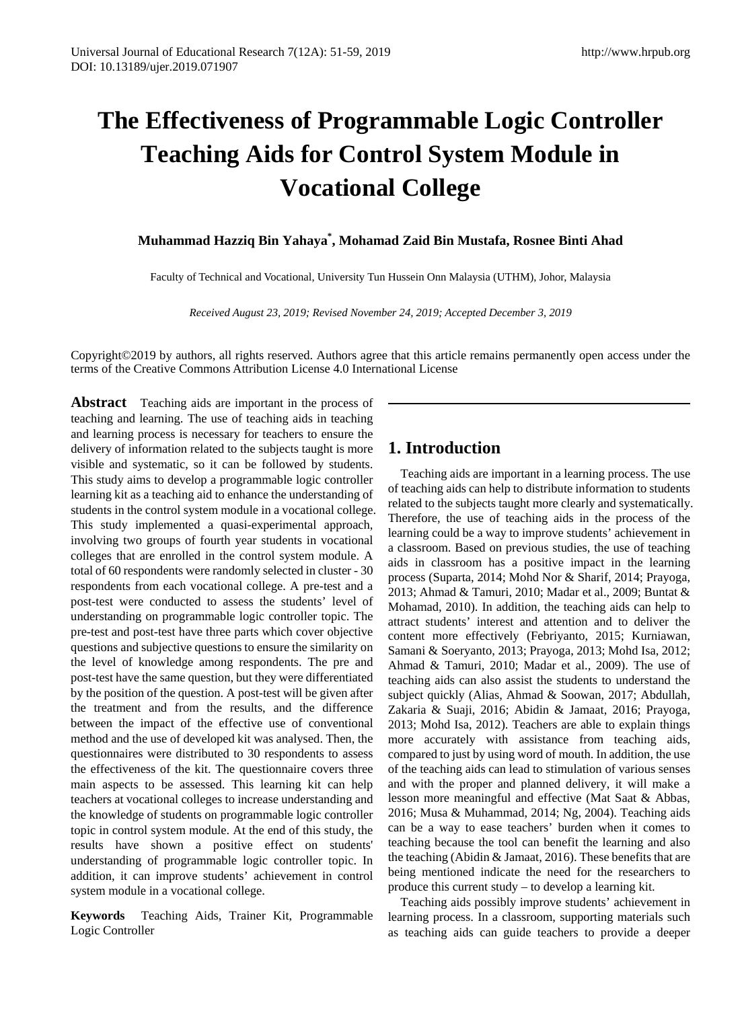# **The Effectiveness of Programmable Logic Controller Teaching Aids for Control System Module in Vocational College**

**Muhammad Hazziq Bin Yahaya\* , Mohamad Zaid Bin Mustafa, Rosnee Binti Ahad**

Faculty of Technical and Vocational, University Tun Hussein Onn Malaysia (UTHM), Johor, Malaysia

*Received August 23, 2019; Revised November 24, 2019; Accepted December 3, 2019*

Copyright©2019 by authors, all rights reserved. Authors agree that this article remains permanently open access under the terms of the Creative Commons Attribution License 4.0 International License

**Abstract** Teaching aids are important in the process of teaching and learning. The use of teaching aids in teaching and learning process is necessary for teachers to ensure the delivery of information related to the subjects taught is more visible and systematic, so it can be followed by students. This study aims to develop a programmable logic controller learning kit as a teaching aid to enhance the understanding of students in the control system module in a vocational college. This study implemented a quasi-experimental approach, involving two groups of fourth year students in vocational colleges that are enrolled in the control system module. A total of 60 respondents were randomly selected in cluster - 30 respondents from each vocational college. A pre-test and a post-test were conducted to assess the students' level of understanding on programmable logic controller topic. The pre-test and post-test have three parts which cover objective questions and subjective questions to ensure the similarity on the level of knowledge among respondents. The pre and post-test have the same question, but they were differentiated by the position of the question. A post-test will be given after the treatment and from the results, and the difference between the impact of the effective use of conventional method and the use of developed kit was analysed. Then, the questionnaires were distributed to 30 respondents to assess the effectiveness of the kit. The questionnaire covers three main aspects to be assessed. This learning kit can help teachers at vocational colleges to increase understanding and the knowledge of students on programmable logic controller topic in control system module. At the end of this study, the results have shown a positive effect on students' understanding of programmable logic controller topic. In addition, it can improve students' achievement in control system module in a vocational college.

**Keywords** Teaching Aids, Trainer Kit, Programmable Logic Controller

# **1. Introduction**

Teaching aids are important in a learning process. The use of teaching aids can help to distribute information to students related to the subjects taught more clearly and systematically. Therefore, the use of teaching aids in the process of the learning could be a way to improve students' achievement in a classroom. Based on previous studies, the use of teaching aids in classroom has a positive impact in the learning process (Suparta, 2014; Mohd Nor & Sharif, 2014; Prayoga, 2013; Ahmad & Tamuri, 2010; Madar et al., 2009; Buntat & Mohamad, 2010). In addition, the teaching aids can help to attract students' interest and attention and to deliver the content more effectively (Febriyanto, 2015; Kurniawan, Samani & Soeryanto, 2013; Prayoga, 2013; Mohd Isa, 2012; Ahmad & Tamuri, 2010; Madar et al., 2009). The use of teaching aids can also assist the students to understand the subject quickly (Alias, Ahmad & Soowan, 2017; Abdullah, Zakaria & Suaji, 2016; Abidin & Jamaat, 2016; Prayoga, 2013; Mohd Isa, 2012). Teachers are able to explain things more accurately with assistance from teaching aids, compared to just by using word of mouth. In addition, the use of the teaching aids can lead to stimulation of various senses and with the proper and planned delivery, it will make a lesson more meaningful and effective (Mat Saat & Abbas, 2016; Musa & Muhammad, 2014; Ng, 2004). Teaching aids can be a way to ease teachers' burden when it comes to teaching because the tool can benefit the learning and also the teaching (Abidin & Jamaat, 2016). These benefits that are being mentioned indicate the need for the researchers to produce this current study – to develop a learning kit.

Teaching aids possibly improve students' achievement in learning process. In a classroom, supporting materials such as teaching aids can guide teachers to provide a deeper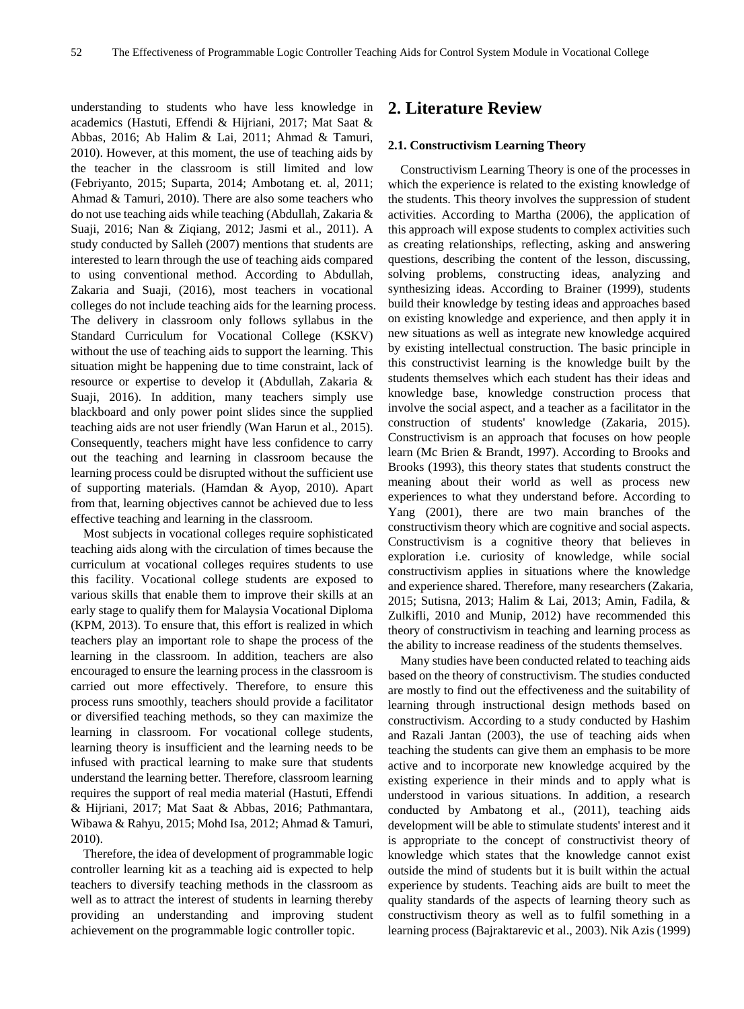understanding to students who have less knowledge in academics (Hastuti, Effendi & Hijriani, 2017; Mat Saat & Abbas, 2016; Ab Halim & Lai, 2011; Ahmad & Tamuri, 2010). However, at this moment, the use of teaching aids by the teacher in the classroom is still limited and low (Febriyanto, 2015; Suparta, 2014; Ambotang et. al, 2011; Ahmad & Tamuri, 2010). There are also some teachers who do not use teaching aids while teaching (Abdullah, Zakaria & Suaji, 2016; Nan & Ziqiang, 2012; Jasmi et al., 2011). A study conducted by Salleh (2007) mentions that students are interested to learn through the use of teaching aids compared to using conventional method. According to Abdullah, Zakaria and Suaji, (2016), most teachers in vocational colleges do not include teaching aids for the learning process. The delivery in classroom only follows syllabus in the Standard Curriculum for Vocational College (KSKV) without the use of teaching aids to support the learning. This situation might be happening due to time constraint, lack of resource or expertise to develop it (Abdullah, Zakaria & Suaji, 2016). In addition, many teachers simply use blackboard and only power point slides since the supplied teaching aids are not user friendly (Wan Harun et al., 2015). Consequently, teachers might have less confidence to carry out the teaching and learning in classroom because the learning process could be disrupted without the sufficient use of supporting materials. (Hamdan & Ayop, 2010). Apart from that, learning objectives cannot be achieved due to less effective teaching and learning in the classroom.

Most subjects in vocational colleges require sophisticated teaching aids along with the circulation of times because the curriculum at vocational colleges requires students to use this facility. Vocational college students are exposed to various skills that enable them to improve their skills at an early stage to qualify them for Malaysia Vocational Diploma (KPM, 2013). To ensure that, this effort is realized in which teachers play an important role to shape the process of the learning in the classroom. In addition, teachers are also encouraged to ensure the learning process in the classroom is carried out more effectively. Therefore, to ensure this process runs smoothly, teachers should provide a facilitator or diversified teaching methods, so they can maximize the learning in classroom. For vocational college students, learning theory is insufficient and the learning needs to be infused with practical learning to make sure that students understand the learning better. Therefore, classroom learning requires the support of real media material (Hastuti, Effendi & Hijriani, 2017; Mat Saat & Abbas, 2016; Pathmantara, Wibawa & Rahyu, 2015; Mohd Isa, 2012; Ahmad & Tamuri, 2010).

Therefore, the idea of development of programmable logic controller learning kit as a teaching aid is expected to help teachers to diversify teaching methods in the classroom as well as to attract the interest of students in learning thereby providing an understanding and improving student achievement on the programmable logic controller topic.

# **2. Literature Review**

## **2.1. Constructivism Learning Theory**

Constructivism Learning Theory is one of the processes in which the experience is related to the existing knowledge of the students. This theory involves the suppression of student activities. According to Martha (2006), the application of this approach will expose students to complex activities such as creating relationships, reflecting, asking and answering questions, describing the content of the lesson, discussing, solving problems, constructing ideas, analyzing and synthesizing ideas. According to Brainer (1999), students build their knowledge by testing ideas and approaches based on existing knowledge and experience, and then apply it in new situations as well as integrate new knowledge acquired by existing intellectual construction. The basic principle in this constructivist learning is the knowledge built by the students themselves which each student has their ideas and knowledge base, knowledge construction process that involve the social aspect, and a teacher as a facilitator in the construction of students' knowledge (Zakaria, 2015). Constructivism is an approach that focuses on how people learn (Mc Brien & Brandt, 1997). According to Brooks and Brooks (1993), this theory states that students construct the meaning about their world as well as process new experiences to what they understand before. According to Yang (2001), there are two main branches of the constructivism theory which are cognitive and social aspects. Constructivism is a cognitive theory that believes in exploration i.e. curiosity of knowledge, while social constructivism applies in situations where the knowledge and experience shared. Therefore, many researchers (Zakaria, 2015; Sutisna, 2013; Halim & Lai, 2013; Amin, Fadila, & Zulkifli, 2010 and Munip, 2012) have recommended this theory of constructivism in teaching and learning process as the ability to increase readiness of the students themselves.

Many studies have been conducted related to teaching aids based on the theory of constructivism. The studies conducted are mostly to find out the effectiveness and the suitability of learning through instructional design methods based on constructivism. According to a study conducted by Hashim and Razali Jantan (2003), the use of teaching aids when teaching the students can give them an emphasis to be more active and to incorporate new knowledge acquired by the existing experience in their minds and to apply what is understood in various situations. In addition, a research conducted by Ambatong et al., (2011), teaching aids development will be able to stimulate students' interest and it is appropriate to the concept of constructivist theory of knowledge which states that the knowledge cannot exist outside the mind of students but it is built within the actual experience by students. Teaching aids are built to meet the quality standards of the aspects of learning theory such as constructivism theory as well as to fulfil something in a learning process (Bajraktarevic et al., 2003). Nik Azis (1999)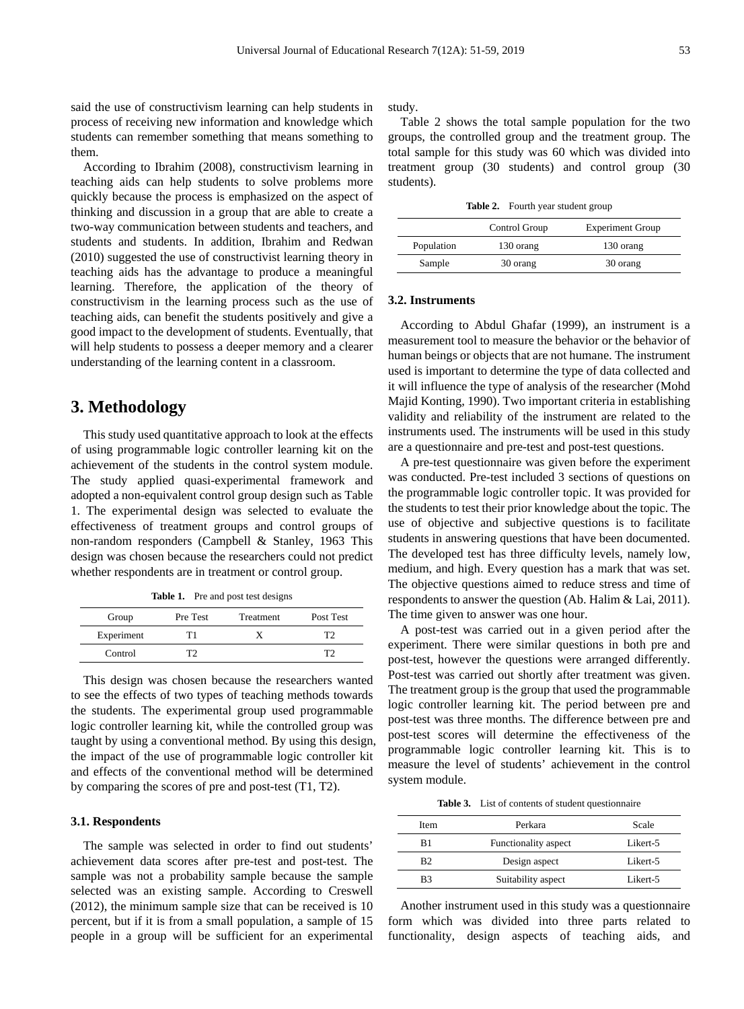said the use of constructivism learning can help students in process of receiving new information and knowledge which students can remember something that means something to them.

According to Ibrahim (2008), constructivism learning in teaching aids can help students to solve problems more quickly because the process is emphasized on the aspect of thinking and discussion in a group that are able to create a two-way communication between students and teachers, and students and students. In addition, Ibrahim and Redwan (2010) suggested the use of constructivist learning theory in teaching aids has the advantage to produce a meaningful learning. Therefore, the application of the theory of constructivism in the learning process such as the use of teaching aids, can benefit the students positively and give a good impact to the development of students. Eventually, that will help students to possess a deeper memory and a clearer understanding of the learning content in a classroom.

## **3. Methodology**

This study used quantitative approach to look at the effects of using programmable logic controller learning kit on the achievement of the students in the control system module. The study applied quasi-experimental framework and adopted a non-equivalent control group design such as Table 1. The experimental design was selected to evaluate the effectiveness of treatment groups and control groups of non-random responders (Campbell & Stanley, 1963 This design was chosen because the researchers could not predict whether respondents are in treatment or control group.

Table 1. Pre and post test designs

| Group      | Pre Test | <b>Treatment</b> | Post Test |
|------------|----------|------------------|-----------|
| Experiment | T        |                  | тາ        |
| Control    | тэ       |                  | T?        |

This design was chosen because the researchers wanted to see the effects of two types of teaching methods towards the students. The experimental group used programmable logic controller learning kit, while the controlled group was taught by using a conventional method. By using this design, the impact of the use of programmable logic controller kit and effects of the conventional method will be determined by comparing the scores of pre and post-test (T1, T2).

## **3.1. Respondents**

The sample was selected in order to find out students' achievement data scores after pre-test and post-test. The sample was not a probability sample because the sample selected was an existing sample. According to Creswell (2012), the minimum sample size that can be received is 10 percent, but if it is from a small population, a sample of 15 people in a group will be sufficient for an experimental

study.

Table 2 shows the total sample population for the two groups, the controlled group and the treatment group. The total sample for this study was 60 which was divided into treatment group (30 students) and control group (30 students).

Table 2. Fourth year student group

|            | Control Group | <b>Experiment Group</b> |
|------------|---------------|-------------------------|
| Population | 130 orang     | 130 orang               |
| Sample     | 30 orang      | 30 orang                |

## **3.2. Instruments**

According to Abdul Ghafar (1999), an instrument is a measurement tool to measure the behavior or the behavior of human beings or objects that are not humane. The instrument used is important to determine the type of data collected and it will influence the type of analysis of the researcher (Mohd Majid Konting, 1990). Two important criteria in establishing validity and reliability of the instrument are related to the instruments used. The instruments will be used in this study are a questionnaire and pre-test and post-test questions.

A pre-test questionnaire was given before the experiment was conducted. Pre-test included 3 sections of questions on the programmable logic controller topic. It was provided for the students to test their prior knowledge about the topic. The use of objective and subjective questions is to facilitate students in answering questions that have been documented. The developed test has three difficulty levels, namely low, medium, and high. Every question has a mark that was set. The objective questions aimed to reduce stress and time of respondents to answer the question (Ab. Halim & Lai, 2011). The time given to answer was one hour.

A post-test was carried out in a given period after the experiment. There were similar questions in both pre and post-test, however the questions were arranged differently. Post-test was carried out shortly after treatment was given. The treatment group is the group that used the programmable logic controller learning kit. The period between pre and post-test was three months. The difference between pre and post-test scores will determine the effectiveness of the programmable logic controller learning kit. This is to measure the level of students' achievement in the control system module.

**Table 3.** List of contents of student questionnaire

| <b>Item</b> | Perkara              | Scale    |
|-------------|----------------------|----------|
| B1          | Functionality aspect | Likert-5 |
| B2          | Design aspect        | Likert-5 |
| R3          | Suitability aspect   | Likert-5 |

Another instrument used in this study was a questionnaire form which was divided into three parts related to functionality, design aspects of teaching aids, and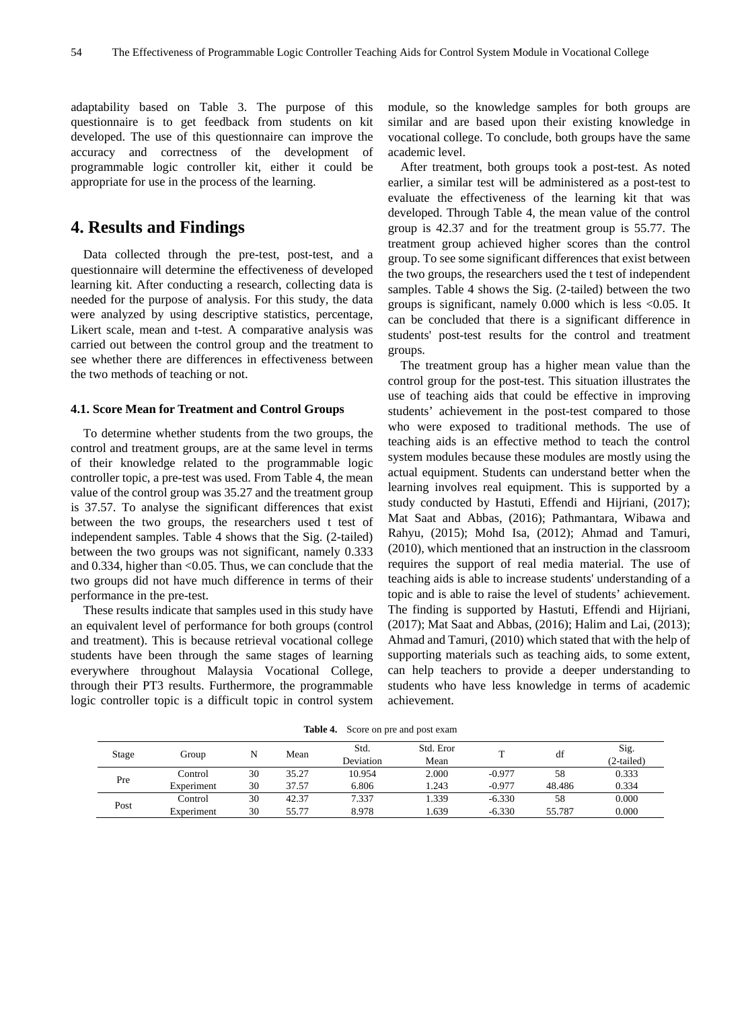adaptability based on Table 3. The purpose of this questionnaire is to get feedback from students on kit developed. The use of this questionnaire can improve the accuracy and correctness of the development of programmable logic controller kit, either it could be appropriate for use in the process of the learning.

## **4. Results and Findings**

Data collected through the pre-test, post-test, and a questionnaire will determine the effectiveness of developed learning kit. After conducting a research, collecting data is needed for the purpose of analysis. For this study, the data were analyzed by using descriptive statistics, percentage, Likert scale, mean and t-test. A comparative analysis was carried out between the control group and the treatment to see whether there are differences in effectiveness between the two methods of teaching or not.

#### **4.1. Score Mean for Treatment and Control Groups**

To determine whether students from the two groups, the control and treatment groups, are at the same level in terms of their knowledge related to the programmable logic controller topic, a pre-test was used. From Table 4, the mean value of the control group was 35.27 and the treatment group is 37.57. To analyse the significant differences that exist between the two groups, the researchers used t test of independent samples. Table 4 shows that the Sig. (2-tailed) between the two groups was not significant, namely 0.333 and 0.334, higher than <0.05. Thus, we can conclude that the two groups did not have much difference in terms of their performance in the pre-test.

These results indicate that samples used in this study have an equivalent level of performance for both groups (control and treatment). This is because retrieval vocational college students have been through the same stages of learning everywhere throughout Malaysia Vocational College, through their PT3 results. Furthermore, the programmable logic controller topic is a difficult topic in control system module, so the knowledge samples for both groups are similar and are based upon their existing knowledge in vocational college. To conclude, both groups have the same academic level.

After treatment, both groups took a post-test. As noted earlier, a similar test will be administered as a post-test to evaluate the effectiveness of the learning kit that was developed. Through Table 4, the mean value of the control group is 42.37 and for the treatment group is 55.77. The treatment group achieved higher scores than the control group. To see some significant differences that exist between the two groups, the researchers used the t test of independent samples. Table 4 shows the Sig. (2-tailed) between the two groups is significant, namely 0.000 which is less <0.05. It can be concluded that there is a significant difference in students' post-test results for the control and treatment groups.

The treatment group has a higher mean value than the control group for the post-test. This situation illustrates the use of teaching aids that could be effective in improving students' achievement in the post-test compared to those who were exposed to traditional methods. The use of teaching aids is an effective method to teach the control system modules because these modules are mostly using the actual equipment. Students can understand better when the learning involves real equipment. This is supported by a study conducted by Hastuti, Effendi and Hijriani, (2017); Mat Saat and Abbas, (2016); Pathmantara, Wibawa and Rahyu, (2015); Mohd Isa, (2012); Ahmad and Tamuri, (2010), which mentioned that an instruction in the classroom requires the support of real media material. The use of teaching aids is able to increase students' understanding of a topic and is able to raise the level of students' achievement. The finding is supported by Hastuti, Effendi and Hijriani, (2017); Mat Saat and Abbas, (2016); Halim and Lai, (2013); Ahmad and Tamuri, (2010) which stated that with the help of supporting materials such as teaching aids, to some extent, can help teachers to provide a deeper understanding to students who have less knowledge in terms of academic achievement.

| Stage | Group      | N  | Mean  | Std.      | Std. Eror |          | df     | Sig.       |
|-------|------------|----|-------|-----------|-----------|----------|--------|------------|
|       |            |    |       | Deviation | Mean      |          |        | (2-tailed) |
| Pre   | Control    | 30 | 35.27 | 10.954    | 2.000     | $-0.977$ | 58     | 0.333      |
|       | Experiment | 30 | 37.57 | 6.806     | 1.243     | $-0.977$ | 48.486 | 0.334      |
| Post  | Control    | 30 | 42.37 | 7.337     | 1.339     | $-6.330$ | 58     | 0.000      |
|       | Experiment | 30 | 55.77 | 8.978     | 1.639     | $-6.330$ | 55.787 | 0.000      |

**Table 4.** Score on pre and post exam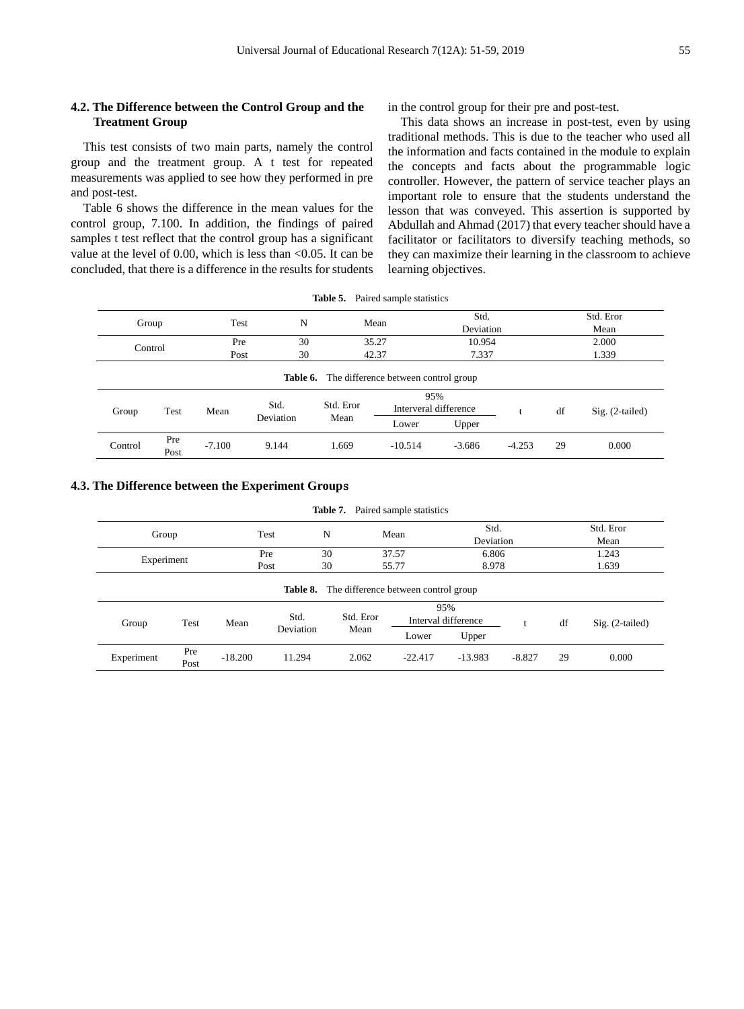## **4.2. The Difference between the Control Group and the Treatment Group**

in the control group for their pre and post-test.

This test consists of two main parts, namely the control group and the treatment group. A t test for repeated measurements was applied to see how they performed in pre and post-test.

Table 6 shows the difference in the mean values for the control group, 7.100. In addition, the findings of paired samples t test reflect that the control group has a significant value at the level of 0.00, which is less than <0.05. It can be concluded, that there is a difference in the results for students

This data shows an increase in post-test, even by using traditional methods. This is due to the teacher who used all the information and facts contained in the module to explain the concepts and facts about the programmable logic controller. However, the pattern of service teacher plays an important role to ensure that the students understand the lesson that was conveyed. This assertion is supported by Abdullah and Ahmad (2017) that every teacher should have a facilitator or facilitators to diversify teaching methods, so they can maximize their learning in the classroom to achieve learning objectives.

| Table 5. |  | Paired sample statistics |
|----------|--|--------------------------|
|----------|--|--------------------------|

| Group                                                |                               | Test     | N         |                      | Mean                         |          | Std.<br>Deviation |    | Std. Eror<br>Mean |  |
|------------------------------------------------------|-------------------------------|----------|-----------|----------------------|------------------------------|----------|-------------------|----|-------------------|--|
|                                                      | 30<br>35.27<br>Pre<br>Control |          | 10.954    |                      |                              |          | 2.000<br>1.339    |    |                   |  |
|                                                      |                               | Post     |           | 30<br>42.37<br>7.337 |                              |          |                   |    |                   |  |
| <b>Table 6.</b> The difference between control group |                               |          |           |                      |                              |          |                   |    |                   |  |
| Test<br>Group                                        |                               | Mean     | Std.      | Std. Eror            | 95%<br>Interveral difference |          |                   | df | $Sig. (2-tailed)$ |  |
|                                                      |                               |          | Deviation | Mean                 | Lower                        | Upper    |                   |    |                   |  |
| Control                                              | Pre<br>Post                   | $-7.100$ | 9.144     | 1.669                | $-10.514$                    | $-3.686$ | $-4.253$          | 29 | 0.000             |  |

## **4.3. The Difference between the Experiment Group**s

| <b>Table 7.</b> Paired sample statistics |                                                      |           |                   |           |  |           |                     |           |           |                   |  |
|------------------------------------------|------------------------------------------------------|-----------|-------------------|-----------|--|-----------|---------------------|-----------|-----------|-------------------|--|
| Group                                    |                                                      |           | Test              | N         |  | Mean      |                     | Std.      | Std. Eror |                   |  |
|                                          |                                                      |           |                   |           |  |           |                     | Deviation |           | Mean              |  |
|                                          |                                                      |           | Pre               | 30        |  | 37.57     |                     | 6.806     |           | 1.243             |  |
|                                          | Experiment                                           |           | Post              | 30        |  | 55.77     | 8.978               |           | 1.639     |                   |  |
|                                          | <b>Table 8.</b> The difference between control group |           |                   |           |  |           |                     |           |           |                   |  |
|                                          |                                                      |           |                   |           |  |           | 95%                 |           |           |                   |  |
| Group                                    | Test                                                 | Mean      | Std.<br>Deviation | Std. Eror |  |           | Interval difference |           | df        | $Sig. (2-tailed)$ |  |
|                                          |                                                      |           |                   | Mean      |  | Lower     | Upper               |           |           |                   |  |
| Experiment                               | Pre                                                  | $-18.200$ | 11.294            | 2.062     |  | $-22.417$ | $-13.983$           | $-8.827$  | 29        | 0.000             |  |
|                                          | Post                                                 |           |                   |           |  |           |                     |           |           |                   |  |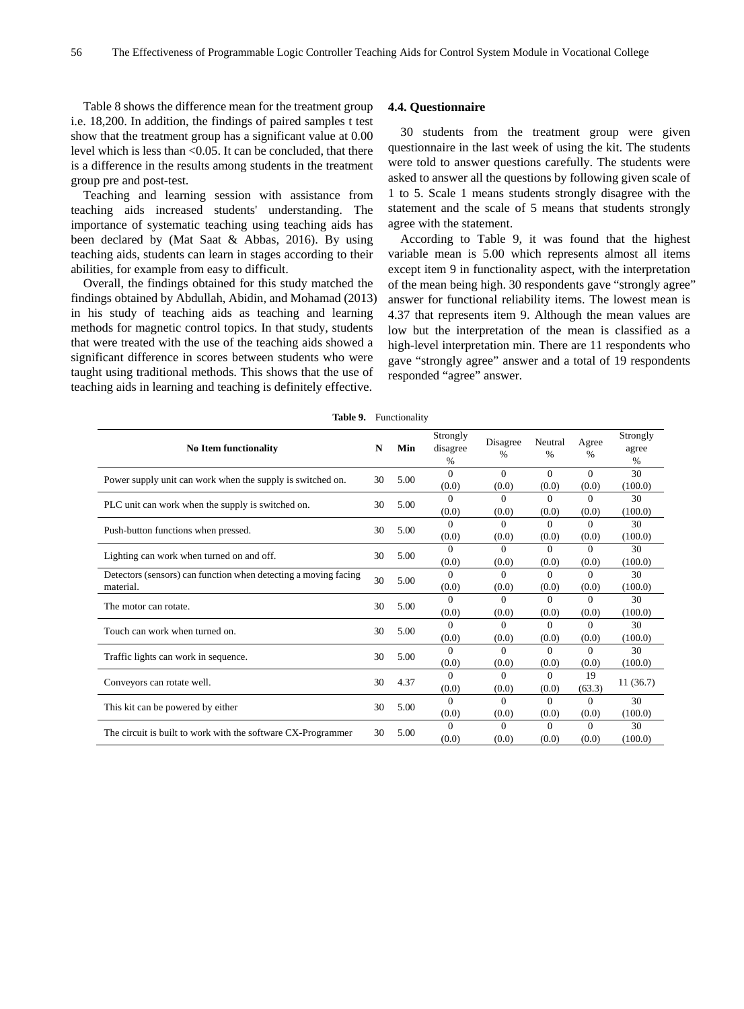Table 8 shows the difference mean for the treatment group i.e. 18,200. In addition, the findings of paired samples t test show that the treatment group has a significant value at 0.00 level which is less than <0.05. It can be concluded, that there is a difference in the results among students in the treatment group pre and post-test.

Teaching and learning session with assistance from teaching aids increased students' understanding. The importance of systematic teaching using teaching aids has been declared by (Mat Saat & Abbas, 2016). By using teaching aids, students can learn in stages according to their abilities, for example from easy to difficult.

Overall, the findings obtained for this study matched the findings obtained by Abdullah, Abidin, and Mohamad (2013) in his study of teaching aids as teaching and learning methods for magnetic control topics. In that study, students that were treated with the use of the teaching aids showed a significant difference in scores between students who were taught using traditional methods. This shows that the use of teaching aids in learning and teaching is definitely effective.

### **4.4. Questionnaire**

30 students from the treatment group were given questionnaire in the last week of using the kit. The students were told to answer questions carefully. The students were asked to answer all the questions by following given scale of 1 to 5. Scale 1 means students strongly disagree with the statement and the scale of 5 means that students strongly agree with the statement.

According to Table 9, it was found that the highest variable mean is 5.00 which represents almost all items except item 9 in functionality aspect, with the interpretation of the mean being high. 30 respondents gave "strongly agree" answer for functional reliability items. The lowest mean is 4.37 that represents item 9. Although the mean values are low but the interpretation of the mean is classified as a high-level interpretation min. There are 11 respondents who gave "strongly agree" answer and a total of 19 respondents responded "agree" answer.

|                                                                              |    | <b>Table 9.</b> Functionality |                           |                   |                   |                   |                                    |
|------------------------------------------------------------------------------|----|-------------------------------|---------------------------|-------------------|-------------------|-------------------|------------------------------------|
| <b>No Item functionality</b>                                                 | N  | Min                           | Strongly<br>disagree<br>% | Disagree<br>$\%$  | Neutral<br>$\%$   | Agree<br>$\%$     | Strongly<br>agree<br>$\frac{0}{0}$ |
| Power supply unit can work when the supply is switched on.                   | 30 | 5.00                          | $\Omega$<br>(0.0)         | $\Omega$<br>(0.0) | $\Omega$<br>(0.0) | $\Omega$<br>(0.0) | 30<br>(100.0)                      |
| PLC unit can work when the supply is switched on.                            | 30 | 5.00                          | $\Omega$<br>(0.0)         | $\Omega$<br>(0.0) | $\Omega$<br>(0.0) | 0<br>(0.0)        | 30<br>(100.0)                      |
| Push-button functions when pressed.                                          | 30 | 5.00                          | $\Omega$<br>(0.0)         | $\Omega$<br>(0.0) | $\Omega$<br>(0.0) | $\Omega$<br>(0.0) | 30<br>(100.0)                      |
| Lighting can work when turned on and off.                                    | 30 | 5.00                          | 0<br>(0.0)                | $\Omega$<br>(0.0) | 0<br>(0.0)        | 0<br>(0.0)        | 30<br>(100.0)                      |
| Detectors (sensors) can function when detecting a moving facing<br>material. | 30 | 5.00                          | $\Omega$<br>(0.0)         | $\Omega$<br>(0.0) | $\Omega$<br>(0.0) | $\Omega$<br>(0.0) | 30<br>(100.0)                      |
| The motor can rotate.                                                        | 30 | 5.00                          | $\Omega$<br>(0.0)         | $\Omega$<br>(0.0) | $\Omega$<br>(0.0) | $\Omega$<br>(0.0) | 30<br>(100.0)                      |
| Touch can work when turned on.                                               | 30 | 5.00                          | 0<br>(0.0)                | $\Omega$<br>(0.0) | 0<br>(0.0)        | $\Omega$<br>(0.0) | 30<br>(100.0)                      |
| Traffic lights can work in sequence.                                         | 30 | 5.00                          | $\Omega$<br>(0.0)         | $\Omega$<br>(0.0) | $\Omega$<br>(0.0) | $\Omega$<br>(0.0) | 30<br>(100.0)                      |
| Conveyors can rotate well.                                                   | 30 | 4.37                          | 0<br>(0.0)                | $\Omega$<br>(0.0) | $\Omega$<br>(0.0) | 19<br>(63.3)      | 11(36.7)                           |
| This kit can be powered by either                                            | 30 | 5.00                          | $\Omega$<br>(0.0)         | $\Omega$<br>(0.0) | $\Omega$<br>(0.0) | 0<br>(0.0)        | 30<br>(100.0)                      |
| The circuit is built to work with the software CX-Programmer                 | 30 | 5.00                          | $\Omega$<br>(0.0)         | $\Omega$<br>(0.0) | $\Omega$<br>(0.0) | $\Omega$<br>(0.0) | 30<br>(100.0)                      |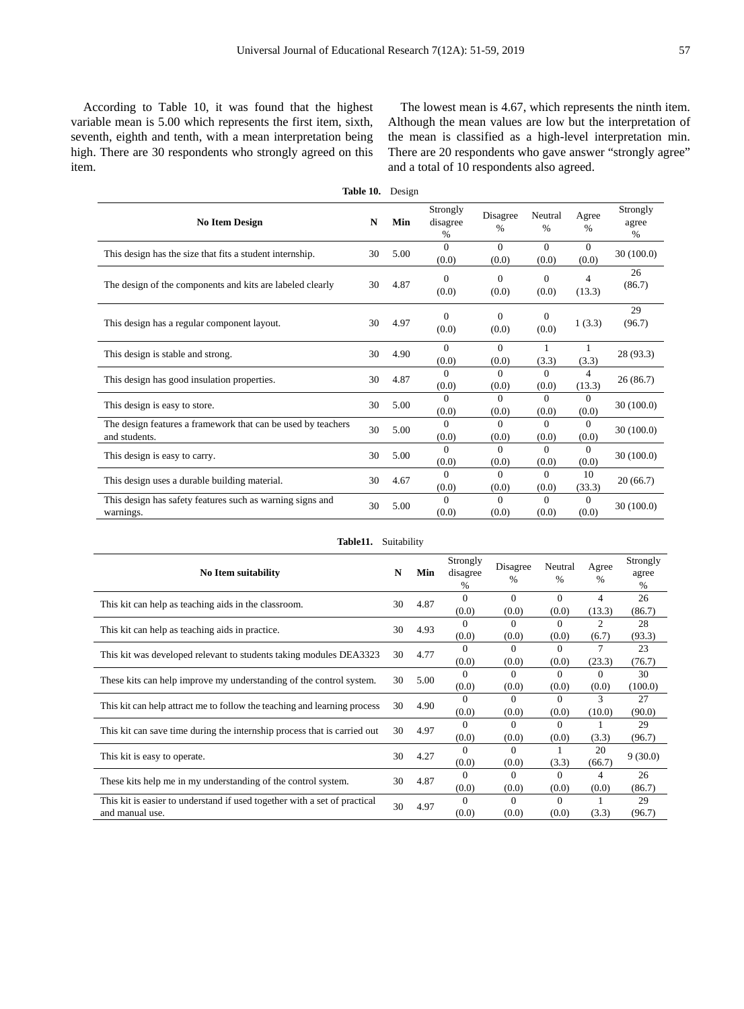According to Table 10, it was found that the highest variable mean is 5.00 which represents the first item, sixth, seventh, eighth and tenth, with a mean interpretation being high. There are 30 respondents who strongly agreed on this item.

The lowest mean is 4.67, which represents the ninth item. Although the mean values are low but the interpretation of the mean is classified as a high-level interpretation min. There are 20 respondents who gave answer "strongly agree" and a total of 10 respondents also agreed.

|                                                                               | Table 10. | Design |                              |                   |                   |                   |                        |
|-------------------------------------------------------------------------------|-----------|--------|------------------------------|-------------------|-------------------|-------------------|------------------------|
| <b>No Item Design</b>                                                         | N         | Min    | Strongly<br>disagree<br>$\%$ | Disagree<br>$\%$  | Neutral<br>$\%$   | Agree<br>$\%$     | Strongly<br>agree<br>% |
| This design has the size that fits a student internship.                      | 30        | 5.00   | $\Omega$<br>(0.0)            | $\Omega$<br>(0.0) | $\Omega$<br>(0.0) | $\Omega$<br>(0.0) | 30(100.0)              |
| The design of the components and kits are labeled clearly                     | 30        | 4.87   | $\Omega$<br>(0.0)            | $\Omega$<br>(0.0) | $\Omega$<br>(0.0) | 4<br>(13.3)       | 26<br>(86.7)           |
| This design has a regular component layout.                                   | 30        | 4.97   | $\Omega$<br>(0.0)            | $\Omega$<br>(0.0) | $\Omega$<br>(0.0) | 1(3.3)            | 29<br>(96.7)           |
| This design is stable and strong.                                             | 30        | 4.90   | $\Omega$<br>(0.0)            | $\Omega$<br>(0.0) | (3.3)             | 1<br>(3.3)        | 28 (93.3)              |
| This design has good insulation properties.                                   | 30        | 4.87   | $\Omega$<br>(0.0)            | 0<br>(0.0)        | 0<br>(0.0)        | 4<br>(13.3)       | 26(86.7)               |
| This design is easy to store.                                                 | 30        | 5.00   | $\Omega$<br>(0.0)            | $\Omega$<br>(0.0) | 0<br>(0.0)        | 0<br>(0.0)        | 30(100.0)              |
| The design features a framework that can be used by teachers<br>and students. | 30        | 5.00   | $\Omega$<br>(0.0)            | $\Omega$<br>(0.0) | $\Omega$<br>(0.0) | $\Omega$<br>(0.0) | 30(100.0)              |
| This design is easy to carry.                                                 | 30        | 5.00   | 0<br>(0.0)                   | 0<br>(0.0)        | 0<br>(0.0)        | $\Omega$<br>(0.0) | 30(100.0)              |
| This design uses a durable building material.                                 | 30        | 4.67   | $\Omega$<br>(0.0)            | 0<br>(0.0)        | 0<br>(0.0)        | 10<br>(33.3)      | 20(66.7)               |
| This design has safety features such as warning signs and<br>warnings.        | 30        | 5.00   | $\Omega$<br>(0.0)            | $\Omega$<br>(0.0) | $\Omega$<br>(0.0) | $\Omega$<br>(0.0) | 30(100.0)              |

| Table11.<br>Suitability                                                                      |    |      |                           |                   |                   |                   |                                    |  |  |  |
|----------------------------------------------------------------------------------------------|----|------|---------------------------|-------------------|-------------------|-------------------|------------------------------------|--|--|--|
| <b>No Item suitability</b>                                                                   | N  | Min  | Strongly<br>disagree<br>% | Disagree<br>%     | Neutral<br>$\%$   | Agree<br>%        | Strongly<br>agree<br>$\frac{0}{0}$ |  |  |  |
| This kit can help as teaching aids in the classroom.                                         | 30 | 4.87 | 0<br>(0.0)                | $\Omega$<br>(0.0) | $\Omega$<br>(0.0) | 4<br>(13.3)       | 26<br>(86.7)                       |  |  |  |
| This kit can help as teaching aids in practice.                                              | 30 | 4.93 | 0<br>(0.0)                | $\Omega$<br>(0.0) | 0<br>(0.0)        | 2<br>(6.7)        | 28<br>(93.3)                       |  |  |  |
| This kit was developed relevant to students taking modules DEA3323                           | 30 | 4.77 | $\Omega$<br>(0.0)         | 0<br>(0.0)        | 0<br>(0.0)        | 7<br>(23.3)       | 23<br>(76.7)                       |  |  |  |
| These kits can help improve my understanding of the control system.                          | 30 | 5.00 | $\Omega$<br>(0.0)         | $\Omega$<br>(0.0) | $\Omega$<br>(0.0) | $\Omega$<br>(0.0) | 30<br>(100.0)                      |  |  |  |
| This kit can help attract me to follow the teaching and learning process                     | 30 | 4.90 | $\Omega$<br>(0.0)         | $\Omega$<br>(0.0) | 0<br>(0.0)        | 3<br>(10.0)       | 27<br>(90.0)                       |  |  |  |
| This kit can save time during the internship process that is carried out                     | 30 | 4.97 | 0<br>(0.0)                | $\Omega$<br>(0.0) | $\Omega$<br>(0.0) | (3.3)             | 29<br>(96.7)                       |  |  |  |
| This kit is easy to operate.                                                                 | 30 | 4.27 | $\Omega$<br>(0.0)         | $\Omega$<br>(0.0) | (3.3)             | 20<br>(66.7)      | 9(30.0)                            |  |  |  |
| These kits help me in my understanding of the control system.                                | 30 | 4.87 | $\Omega$<br>(0.0)         | $\Omega$<br>(0.0) | $\Omega$<br>(0.0) | 4<br>(0.0)        | 26<br>(86.7)                       |  |  |  |
| This kit is easier to understand if used together with a set of practical<br>and manual use. | 30 | 4.97 | 0<br>(0.0)                | 0<br>(0.0)        | 0<br>(0.0)        | (3.3)             | 29<br>(96.7)                       |  |  |  |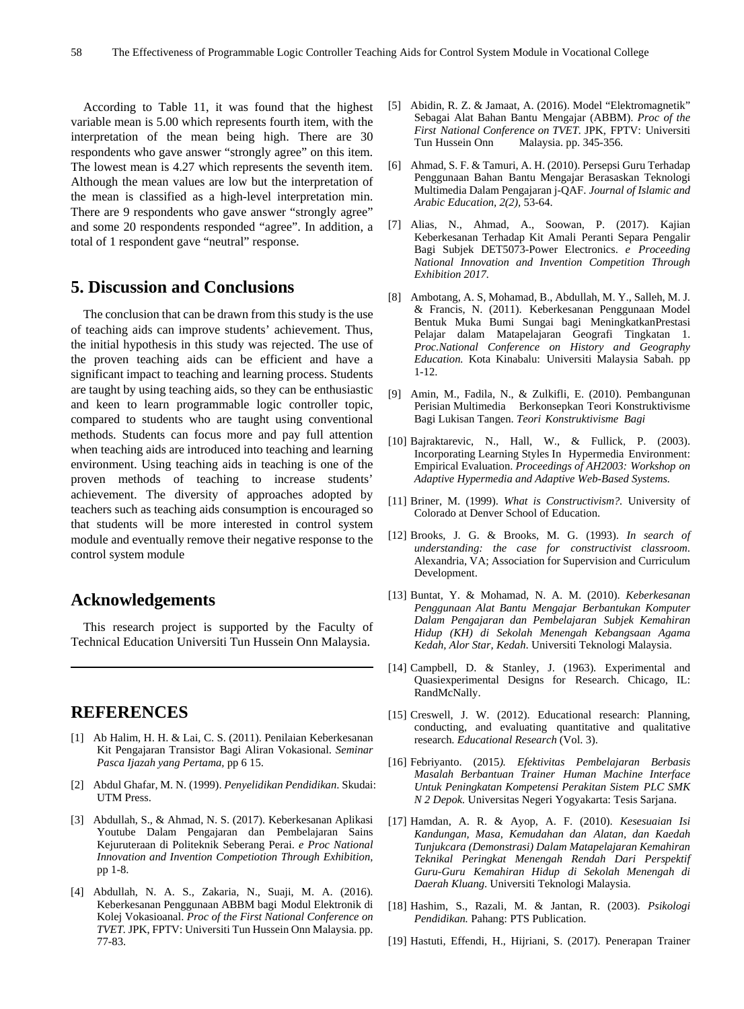According to Table 11, it was found that the highest variable mean is 5.00 which represents fourth item, with the interpretation of the mean being high. There are 30 respondents who gave answer "strongly agree" on this item. The lowest mean is 4.27 which represents the seventh item. Although the mean values are low but the interpretation of the mean is classified as a high-level interpretation min. There are 9 respondents who gave answer "strongly agree" and some 20 respondents responded "agree". In addition, a total of 1 respondent gave "neutral" response.

# **5. Discussion and Conclusions**

The conclusion that can be drawn from this study is the use of teaching aids can improve students' achievement. Thus, the initial hypothesis in this study was rejected. The use of the proven teaching aids can be efficient and have a significant impact to teaching and learning process. Students are taught by using teaching aids, so they can be enthusiastic and keen to learn programmable logic controller topic, compared to students who are taught using conventional methods. Students can focus more and pay full attention when teaching aids are introduced into teaching and learning environment. Using teaching aids in teaching is one of the proven methods of teaching to increase students' achievement. The diversity of approaches adopted by teachers such as teaching aids consumption is encouraged so that students will be more interested in control system module and eventually remove their negative response to the control system module

# **Acknowledgements**

This research project is supported by the Faculty of Technical Education Universiti Tun Hussein Onn Malaysia.

# **REFERENCES**

- [1] Ab Halim, H. H. & Lai, C. S. (2011). Penilaian Keberkesanan Kit Pengajaran Transistor Bagi Aliran Vokasional. *Seminar Pasca Ijazah yang Pertama,* pp 6 15.
- [2] Abdul Ghafar, M. N. (1999). *Penyelidikan Pendidikan*. Skudai: UTM Press.
- [3] Abdullah, S., & Ahmad, N. S. (2017). Keberkesanan Aplikasi Youtube Dalam Pengajaran dan Pembelajaran Sains Kejuruteraan di Politeknik Seberang Perai. *e Proc National Innovation and Invention Competiotion Through Exhibition,*  pp 1-8.
- [4] Abdullah, N. A. S., Zakaria, N., Suaji, M. A. (2016). Keberkesanan Penggunaan ABBM bagi Modul Elektronik di Kolej Vokasioanal. *Proc of the First National Conference on TVET.* JPK, FPTV: Universiti Tun Hussein Onn Malaysia. pp. 77-83.
- [5] Abidin, R. Z. & Jamaat, A. (2016). Model "Elektromagnetik" Sebagai Alat Bahan Bantu Mengajar (ABBM). *Proc of the First National Conference on TVET.* JPK, FPTV: Universiti Tun Hussein Onn Malaysia. pp. 345-356.
- [6] Ahmad, S. F. & Tamuri, A. H. (2010). Persepsi Guru Terhadap Penggunaan Bahan Bantu Mengajar Berasaskan Teknologi Multimedia Dalam Pengajaran j-QAF. *Journal of Islamic and Arabic Education, 2(2),* 53-64.
- [7] Alias, N., Ahmad, A., Soowan, P. (2017). Kajian Keberkesanan Terhadap Kit Amali Peranti Separa Pengalir Bagi Subjek DET5073-Power Electronics. *e Proceeding National Innovation and Invention Competition Through Exhibition 2017.*
- [8] Ambotang, A. S, Mohamad, B., Abdullah, M. Y., Salleh, M. J. & Francis, N. (2011). Keberkesanan Penggunaan Model Bentuk Muka Bumi Sungai bagi MeningkatkanPrestasi Pelajar dalam Matapelajaran Geografi Tingkatan 1. *Proc.National Conference on History and Geography Education.* Kota Kinabalu: Universiti Malaysia Sabah. pp 1-12.
- [9] Amin, M., Fadila, N., & Zulkifli, E. (2010). Pembangunan Perisian Multimedia Berkonsepkan Teori Konstruktivisme Bagi Lukisan Tangen. *Teori Konstruktivisme Bagi*
- [10] Bajraktarevic, N., Hall, W., & Fullick, P. (2003). Incorporating Learning Styles In Hypermedia Environment: Empirical Evaluation. *Proceedings of AH2003: Workshop on Adaptive Hypermedia and Adaptive Web-Based Systems.*
- [11] Briner, M. (1999). *What is Constructivism?.* University of Colorado at Denver School of Education.
- [12] Brooks, J. G. & Brooks, M. G. (1993). *In search of understanding: the case for constructivist classroom*. Alexandria, VA; Association for Supervision and Curriculum Development.
- [13] Buntat, Y. & Mohamad, N. A. M. (2010). *Keberkesanan Penggunaan Alat Bantu Mengajar Berbantukan Komputer Dalam Pengajaran dan Pembelajaran Subjek Kemahiran Hidup (KH) di Sekolah Menengah Kebangsaan Agama Kedah, Alor Star, Kedah*. Universiti Teknologi Malaysia.
- [14] Campbell, D. & Stanley, J. (1963). Experimental and Quasiexperimental Designs for Research. Chicago, IL: RandMcNally.
- [15] Creswell, J. W. (2012). Educational research: Planning, conducting, and evaluating quantitative and qualitative research. *Educational Research* (Vol. 3).
- [16] Febriyanto. (2015*). Efektivitas Pembelajaran Berbasis Masalah Berbantuan Trainer Human Machine Interface Untuk Peningkatan Kompetensi Perakitan Sistem PLC SMK N 2 Depok.* Universitas Negeri Yogyakarta: Tesis Sarjana.
- [17] Hamdan, A. R. & Ayop, A. F. (2010). *Kesesuaian Isi Kandungan, Masa, Kemudahan dan Alatan, dan Kaedah Tunjukcara (Demonstrasi) Dalam Matapelajaran Kemahiran Teknikal Peringkat Menengah Rendah Dari Perspektif Guru-Guru Kemahiran Hidup di Sekolah Menengah di Daerah Kluang*. Universiti Teknologi Malaysia.
- [18] Hashim, S., Razali, M. & Jantan, R. (2003). *Psikologi Pendidikan.* Pahang: PTS Publication.
- [19] Hastuti, Effendi, H., Hijriani, S. (2017). Penerapan Trainer